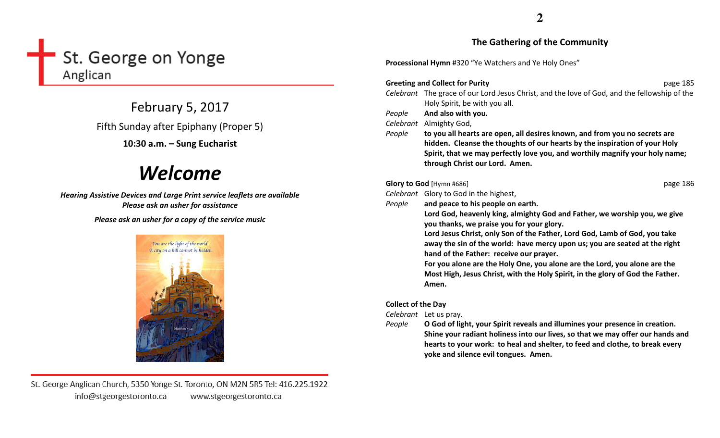## St. George on Yonge Anglican

February 5, 2017

Fifth Sunday after Epiphany (Proper 5)

## 10:30 a.m. – Sung Eucharist

# Welcome

Hearing Assistive Devices and Large Print service leaflets are available Please ask an usher for assistance

Please ask an usher for a copy of the service music



St. George Anglican Church, 5350 Yonge St. Toronto, ON M2N 5R5 Tel: 416.225.1922 info@stgeorgestoronto.ca www.stgeorgestoronto.ca

## The Gathering of the Community

Processional Hymn #320 "Ye Watchers and Ye Holy Ones"

#### Greeting and Collect for Purity $\gamma$  page 185 Celebrant The grace of our Lord Jesus Christ, and the love of God, and the fellowship of the Holy Spirit, be with you all. People And also with you. Celebrant Almighty God, People to you all hearts are open, all desires known, and from you no secrets are hidden. Cleanse the thoughts of our hearts by the inspiration of your Holy Spirit, that we may perfectly love you, and worthily magnify your holy name; through Christ our Lord. Amen. Glory to God [Hymn #686] **d** [Hymn #686] **page 186** Celebrant Glory to God in the highest, People and peace to his people on earth. Lord God, heavenly king, almighty God and Father, we worship you, we give you thanks, we praise you for your glory. Lord Jesus Christ, only Son of the Father, Lord God, Lamb of God, you take away the sin of the world: have mercy upon us; you are seated at the right hand of the Father: receive our prayer.

For you alone are the Holy One, you alone are the Lord, you alone are the Most High, Jesus Christ, with the Holy Spirit, in the glory of God the Father. Amen.

## Collect of the Day

Celebrant Let us pray.

People O God of light, your Spirit reveals and illumines your presence in creation. Shine your radiant holiness into our lives, so that we may offer our hands and hearts to your work: to heal and shelter, to feed and clothe, to break every yoke and silence evil tongues. Amen.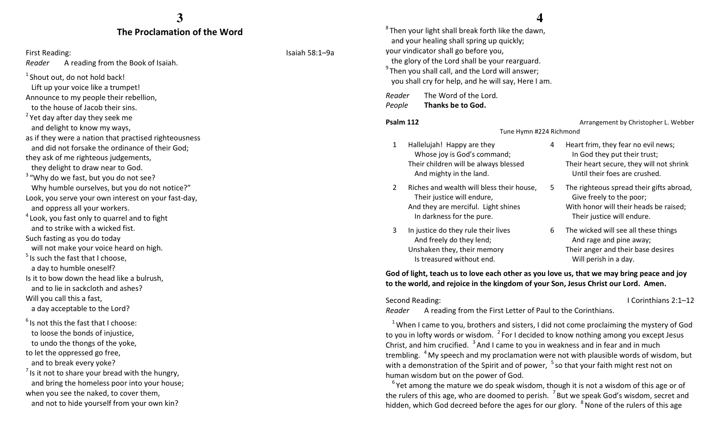#### The Proclamation of the Word

### First Reading: Isaiah 58:1–9a

Reader A reading from the Book of Isaiah.

 $1$  Shout out, do not hold back! Lift up your voice like a trumpet!

Announce to my people their rebellion,

to the house of Jacob their sins.

 $<sup>2</sup>$  Yet day after day they seek me</sup>

and delight to know my ways,

as if they were a nation that practised righteousness and did not forsake the ordinance of their God;

they ask of me righteous judgements,

they delight to draw near to God.

 $3$  "Why do we fast, but you do not see? Why humble ourselves, but you do not notice?"

Look, you serve your own interest on your fast-day,and oppress all your workers.

 $4$  Look, you fast only to quarrel and to fight and to strike with a wicked fist.

Such fasting as you do today

will not make your voice heard on high.

 $<sup>5</sup>$  Is such the fast that I choose.</sup>

a day to humble oneself?

Is it to bow down the head like a bulrush, and to lie in sackcloth and ashes?

Will you call this a fast,

a day acceptable to the Lord?

 $6$  Is not this the fast that I choose: to loose the bonds of injustice, to undo the thongs of the yoke,

to let the oppressed go free, and to break every yoke?

 $<sup>7</sup>$  Is it not to share your bread with the hungry,</sup> and bring the homeless poor into your house; when you see the naked, to cover them,

and not to hide yourself from your own kin?

## **4**

 ${}^{8}$ Then your light shall break forth like the dawn, and your healing shall spring up quickly; your vindicator shall go before you, the glory of the Lord shall be your rearguard.  $9$ Then you shall call, and the Lord will answer; you shall cry for help, and he will say, Here I am.

Reader The Word of the Lord.

PeopleThanks be to God.

#### Psalm 112

 Arrangement by Christopher L. Webber Tune Hymn #224 Richmond

- 1 Hallelujah! Happy are they Whose joy is God's command; Their children will be always blessed And mighty in the land.
- 2 Riches and wealth will bless their house, Their justice will endure, And they are merciful. Light shines In darkness for the pure.
- 3 In justice do they rule their lives And freely do they lend; Unshaken they, their memory Is treasured without end.

4 Heart frim, they fear no evil news; In God they put their trust; Their heart secure, they will not shrink Until their foes are crushed.

- 5 The righteous spread their gifts abroad, Give freely to the poor; With honor will their heads be raised; Their justice will endure.
- 6 The wicked will see all these things And rage and pine away; Their anger and their base desires Will perish in a day.

God of light, teach us to love each other as you love us, that we may bring peace and joy to the world, and rejoice in the kingdom of your Son, Jesus Christ our Lord. Amen.

Second Reading: **I Corinthians 2:1–12** 

Reader A reading from the First Letter of Paul to the Corinthians.

<sup>1</sup>When I came to you, brothers and sisters, I did not come proclaiming the mystery of God to you in lofty words or wisdom.  $2$  For I decided to know nothing among you except Jesus Christ, and him crucified.  $3$  And I came to you in weakness and in fear and in much trembling. <sup>4</sup> My speech and my proclamation were not with plausible words of wisdom, but with a demonstration of the Spirit and of power,  $5$  so that your faith might rest not on human wisdom but on the power of God.

 $6$  Yet among the mature we do speak wisdom, though it is not a wisdom of this age or of the rulers of this age, who are doomed to perish.  $\frac{7}{1}$ But we speak God's wisdom, secret and hidden, which God decreed before the ages for our glory.  $8$  None of the rulers of this age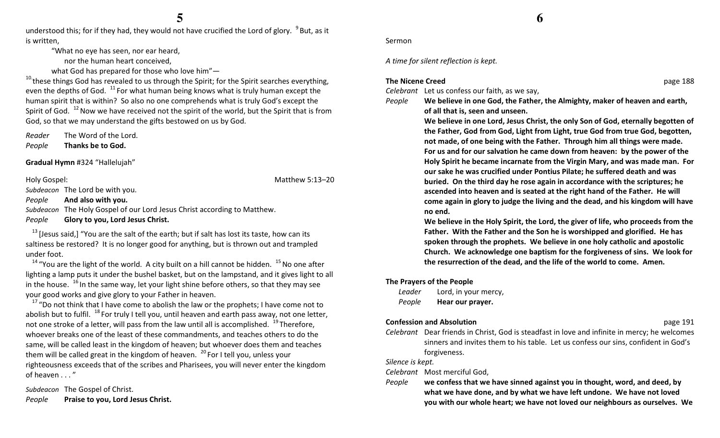understood this; for if they had, they would not have crucified the Lord of glory. <sup>9</sup>But, as it is written,

"What no eye has seen, nor ear heard,

nor the human heart conceived,

what God has prepared for those who love him"—

 $^{10}$  these things God has revealed to us through the Spirit; for the Spirit searches everything, even the depths of God.  $11$  For what human being knows what is truly human except the human spirit that is within? So also no one comprehends what is truly God's except the Spirit of God.  $^{12}$  Now we have received not the spirit of the world, but the Spirit that is from God, so that we may understand the gifts bestowed on us by God.

Reader The Word of the Lord.

PeopleThanks be to God.

Gradual Hymn #324 "Hallelujah"

Holy Gospel: Matthew 5:13–20

Subdeacon The Lord be with you.

PeopleAnd also with you.

Subdeacon The Holy Gospel of our Lord Jesus Christ according to Matthew.

PeopleGlory to you, Lord Jesus Christ.

<sup>13</sup> [Jesus said,] "You are the salt of the earth; but if salt has lost its taste, how can its saltiness be restored? It is no longer good for anything, but is thrown out and trampled under foot.

<sup>14</sup> "You are the light of the world. A city built on a hill cannot be hidden.  $15$  No one after lighting a lamp puts it under the bushel basket, but on the lampstand, and it gives light to all in the house.  $16$  In the same way, let your light shine before others, so that they may see your good works and give glory to your Father in heaven.

<sup>17</sup> "Do not think that I have come to abolish the law or the prophets; I have come not to abolish but to fulfil.  $^{18}$  For truly I tell you, until heaven and earth pass away, not one letter, not one stroke of a letter, will pass from the law until all is accomplished.  $19$ Therefore, whoever breaks one of the least of these commandments, and teaches others to do the same, will be called least in the kingdom of heaven; but whoever does them and teaches them will be called great in the kingdom of heaven. <sup>20</sup> For I tell you, unless your righteousness exceeds that of the scribes and Pharisees, you will never enter the kingdom of heaven . . . "

Subdeacon The Gospel of Christ. PeoplePraise to you, Lord Jesus Christ.

#### Sermon

A time for silent reflection is kept.

#### The Nicene Creed

Celebrant Let us confess our faith, as we say,

People

 We believe in one God, the Father, the Almighty, maker of heaven and earth, of all that is, seen and unseen.

We believe in one Lord, Jesus Christ, the only Son of God, eternally begotten of the Father, God from God, Light from Light, true God from true God, begotten, not made, of one being with the Father. Through him all things were made. For us and for our salvation he came down from heaven: by the power of the Holy Spirit he became incarnate from the Virgin Mary, and was made man. For our sake he was crucified under Pontius Pilate; he suffered death and was buried. On the third day he rose again in accordance with the scriptures; he ascended into heaven and is seated at the right hand of the Father. He will come again in glory to judge the living and the dead, and his kingdom will have no end.

We believe in the Holy Spirit, the Lord, the giver of life, who proceeds from the Father. With the Father and the Son he is worshipped and glorified. He has spoken through the prophets. We believe in one holy catholic and apostolic Church. We acknowledge one baptism for the forgiveness of sins. We look for the resurrection of the dead, and the life of the world to come. Amen.

#### The Prayers of the People

| Leader | Lord, in your mercy, |
|--------|----------------------|
| People | Hear our prayer.     |

#### Confession and Absolution

page 191

Celebrant Dear friends in Christ, God is steadfast in love and infinite in mercy; he welcomes sinners and invites them to his table. Let us confess our sins, confident in God's forgiveness.

Silence is kept.

Celebrant Most merciful God,

People we confess that we have sinned against you in thought, word, and deed, by what we have done, and by what we have left undone. We have not loved you with our whole heart; we have not loved our neighbours as ourselves. We

d by a page 188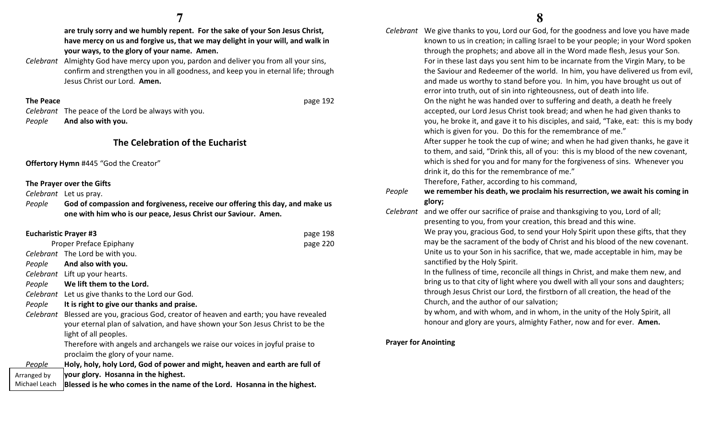are truly sorry and we humbly repent. For the sake of your Son Jesus Christ, have mercy on us and forgive us, that we may delight in your will, and walk in your ways, to the glory of your name. Amen.

Celebrant Almighty God have mercy upon you, pardon and deliver you from all your sins, confirm and strengthen you in all goodness, and keep you in eternal life; through Jesus Christ our Lord. Amen.

#### The Peace

 $p$  and  $p$  and  $p$  are page 192 Celebrant The peace of the Lord be always with you. PeopleAnd also with you.

## The Celebration of the Eucharist

Offertory Hymn #445 "God the Creator"

#### The Prayer over the Gifts

Celebrant Let us pray.

People God of compassion and forgiveness, receive our offering this day, and make us one with him who is our peace, Jesus Christ our Saviour. Amen.

| <b>Eucharistic Prayer #3</b> |               |                                                                                                                                                                                                    | page 198 |
|------------------------------|---------------|----------------------------------------------------------------------------------------------------------------------------------------------------------------------------------------------------|----------|
| Proper Preface Epiphany      |               |                                                                                                                                                                                                    | page 220 |
|                              |               | Celebrant The Lord be with you.                                                                                                                                                                    |          |
|                              | People        | And also with you.                                                                                                                                                                                 |          |
|                              |               | Celebrant Lift up your hearts.                                                                                                                                                                     |          |
|                              | People        | We lift them to the Lord.                                                                                                                                                                          |          |
|                              |               | Celebrant Let us give thanks to the Lord our God.                                                                                                                                                  |          |
|                              | People        | It is right to give our thanks and praise.                                                                                                                                                         |          |
|                              |               | Celebrant Blessed are you, gracious God, creator of heaven and earth; you have revealed<br>your eternal plan of salvation, and have shown your Son Jesus Christ to be the<br>light of all peoples. |          |
|                              |               | Therefore with angels and archangels we raise our voices in joyful praise to<br>proclaim the glory of your name.                                                                                   |          |
|                              | People        | Holy, holy, holy Lord, God of power and might, heaven and earth are full of                                                                                                                        |          |
|                              | Arranged by   | your glory. Hosanna in the highest.                                                                                                                                                                |          |
|                              | Michael Leach | Blessed is he who comes in the name of the Lord. Hosanna in the highest.                                                                                                                           |          |
|                              |               |                                                                                                                                                                                                    |          |

Celebrant We give thanks to you, Lord our God, for the goodness and love you have made known to us in creation; in calling Israel to be your people; in your Word spoken through the prophets; and above all in the Word made flesh, Jesus your Son. For in these last days you sent him to be incarnate from the Virgin Mary, to be the Saviour and Redeemer of the world. In him, you have delivered us from evil, and made us worthy to stand before you. In him, you have brought us out of error into truth, out of sin into righteousness, out of death into life. On the night he was handed over to suffering and death, a death he freely accepted, our Lord Jesus Christ took bread; and when he had given thanks to you, he broke it, and gave it to his disciples, and said, "Take, eat: this is my body which is given for you. Do this for the remembrance of me." After supper he took the cup of wine; and when he had given thanks, he gave it to them, and said, "Drink this, all of you: this is my blood of the new covenant, which is shed for you and for many for the forgiveness of sins. Whenever you drink it, do this for the remembrance of me." Therefore, Father, according to his command, People we remember his death, we proclaim his resurrection, we await his coming in glory;Celebrant and we offer our sacrifice of praise and thanksgiving to you, Lord of all; presenting to you, from your creation, this bread and this wine.

> We pray you, gracious God, to send your Holy Spirit upon these gifts, that they may be the sacrament of the body of Christ and his blood of the new covenant. Unite us to your Son in his sacrifice, that we, made acceptable in him, may be sanctified by the Holy Spirit.

In the fullness of time, reconcile all things in Christ, and make them new, and bring us to that city of light where you dwell with all your sons and daughters; through Jesus Christ our Lord, the firstborn of all creation, the head of the Church, and the author of our salvation;

by whom, and with whom, and in whom, in the unity of the Holy Spirit, all honour and glory are yours, almighty Father, now and for ever. Amen.

#### Prayer for Anointing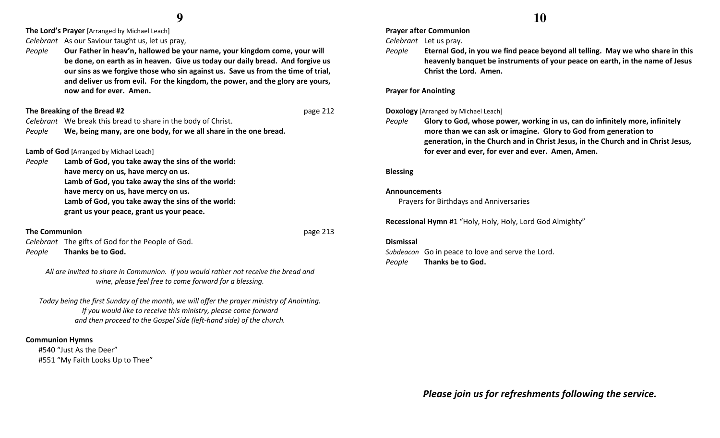**The Lord's Prayer** [Arranged by Michael Leach]

Celebrant As our Saviour taught us, let us pray,

People Our Father in heav'n, hallowed be your name, your kingdom come, your will be done, on earth as in heaven. Give us today our daily bread. And forgive us our sins as we forgive those who sin against us. Save us from the time of trial, and deliver us from evil. For the kingdom, the power, and the glory are yours, now and for ever. Amen.

#### The Breaking of the Bread #2

#### $2^{n}$  page 212

Celebrant We break this bread to share in the body of Christ.

PeopleWe, being many, are one body, for we all share in the one bread.

## **Lamb of God** [Arranged by Michael Leach]

People Lamb of God, you take away the sins of the world: have mercy on us, have mercy on us. Lamb of God, you take away the sins of the world: have mercy on us, have mercy on us. Lamb of God, you take away the sins of the world: grant us your peace, grant us your peace.

#### The Communion

**n** page 213 Celebrant The gifts of God for the People of God. PeopleThanks be to God.

All are invited to share in Communion. If you would rather not receive the bread and wine, please feel free to come forward for a blessing.

Today being the first Sunday of the month, we will offer the prayer ministry of Anointing. If you would like to receive this ministry, please come forward and then proceed to the Gospel Side (left-hand side) of the church.

#### Communion Hymns

 #540 "Just As the Deer" #551 "My Faith Looks Up to Thee" Prayer after Communion

Celebrant Let us pray.

People Eternal God, in you we find peace beyond all telling. May we who share in this heavenly banquet be instruments of your peace on earth, in the name of Jesus Christ the Lord. Amen.

#### Prayer for Anointing

**Doxology** [Arranged by Michael Leach]

People Glory to God, whose power, working in us, can do infinitely more, infinitely more than we can ask or imagine. Glory to God from generation to generation, in the Church and in Christ Jesus, in the Church and in Christ Jesus, for ever and ever, for ever and ever. Amen, Amen.

#### Blessing

#### Announcements

Prayers for Birthdays and Anniversaries

Recessional Hymn #1 "Holy, Holy, Holy, Lord God Almighty"

#### Dismissal

Subdeacon Go in peace to love and serve the Lord. PeopleThanks be to God.

Please join us for refreshments following the service.